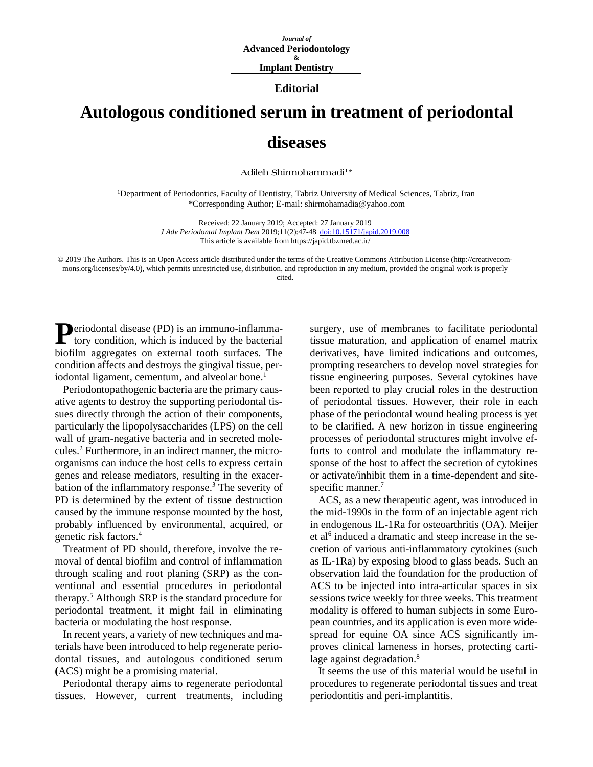## **Editorial**

## **Autologous conditioned serum in treatment of periodontal diseases**

**[Adileh Shirmohammadi](https://www.ncbi.nlm.nih.gov/pubmed/?term=Shirmohammadi%20A%5BAuthor%5D&cauthor=true&cauthor_uid=30443300)<sup>1</sup> \***

<sup>1</sup>Department of Periodontics, Faculty of Dentistry, Tabriz University of Medical Sciences, Tabriz, Iran \*Corresponding Author; E-mail: shirmohamadia@yahoo.com

> Received: 22 January 2019; Accepted: 27 January 2019 *J Adv Periodontal Implant Dent* 2019;11(2):47-48| [doi:10.15171/japid.2019.008](http://dx.doi.org/10.15171/japid.2019.008) This article is available from https://japid.tbzmed.ac.ir/

© 2019 The Authors. This is an Open Access article distributed under the terms of the Creative Commons Attribution License (http://creativecommons.org/licenses/by/4.0), which permits unrestricted use, distribution, and reproduction in any medium, provided the original work is properly cited.

**Deriodontal disease (PD) is an immuno-inflamma-P**eriodontal disease (PD) is an immuno-inflamma-<br>tory condition, which is induced by the bacterial biofilm aggregates on external tooth surfaces. The condition affects and destroys the gingival tissue, periodontal ligament, cementum, and alveolar bone. 1

Periodontopathogenic bacteria are the primary causative agents to destroy the supporting periodontal tissues directly through the action of their components, particularly the lipopolysaccharides (LPS) on the cell wall of gram-negative bacteria and in secreted molecules. <sup>2</sup> Furthermore, in an indirect manner, the microorganisms can induce the host cells to express certain genes and release mediators, resulting in the exacerbation of the inflammatory response. <sup>3</sup> The severity of PD is determined by the extent of tissue destruction caused by the immune response mounted by the host, probably influenced by environmental, acquired, or genetic risk factors. 4

Treatment of PD should, therefore, involve the removal of dental biofilm and control of inflammation through scaling and root planing (SRP) as the conventional and essential procedures in periodontal therapy. [5](https://link.springer.com/article/10.1007%2Fs10103-020-02952-0#CR6) Although SRP is the standard procedure for periodontal treatment, it might fail in eliminating bacteria or modulating the host response.

In recent years, a variety of new techniques and materials have been introduced to help regenerate periodontal tissues, and autologous conditioned serum **(**ACS) might be a promising material.

Periodontal therapy aims to regenerate periodontal tissues. However, current treatments, including surgery, use of membranes to facilitate periodontal tissue maturation, and application of enamel matrix derivatives, have limited indications and outcomes, prompting researchers to develop novel strategies for tissue engineering purposes. Several cytokines have been reported to play crucial roles in the destruction of periodontal tissues. However, their role in each phase of the periodontal wound healing process is yet to be clarified. A new horizon in tissue engineering processes of periodontal structures might involve efforts to control and modulate the inflammatory response of the host to affect the secretion of cytokines or activate/inhibit them in a time‐dependent and sitespecific manner. 7

ACS, as a new therapeutic agent, was introduced in the mid-1990s in the form of an injectable agent rich in endogenous IL-1Ra for osteoarthritis (OA). Meijer et al<sup>6</sup> induced a dramatic and steep increase in the secretion of various anti-inflammatory cytokines (such as IL-1Ra) by exposing blood to glass beads. Such an observation laid the foundation for the production of ACS to be injected into intra-articular spaces in six sessions twice weekly for three weeks. This treatment modality is offered to human subjects in some European countries, and its application is even more widespread for equine OA since ACS significantly improves clinical lameness in horses, protecting cartilage against degradation.<sup>8</sup>

It seems the use of this material would be useful in procedures to regenerate periodontal tissues and treat periodontitis and peri-implantitis.